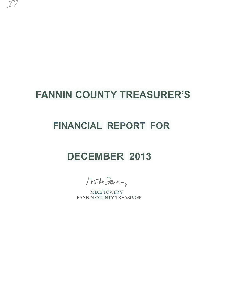# **FANNIN COUNTY TREASURER'S**

*\_)I* 

## **FINANCIAL REPORT FOR**

# **DECEMBER 2013**

Mike Zewey

MIKE TOWERY FANNIN COUNTY TREASURER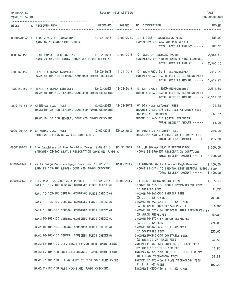| 01/08/2014<br>TIME: 01:34 PM |                                                                                                                                                                                                      | RECEIPT FILE LISTING |                                                                                                                                                                                                  | PAGE<br>1<br>PREPARER:0007 |
|------------------------------|------------------------------------------------------------------------------------------------------------------------------------------------------------------------------------------------------|----------------------|--------------------------------------------------------------------------------------------------------------------------------------------------------------------------------------------------|----------------------------|
| RECEIPT                      | <b>RECEIVED</b><br>S RECEIVED FROM                                                                                                                                                                   | <b>POSTED</b>        | NO DESCRIPTION                                                                                                                                                                                   | <b>AMOUNT</b>              |
|                              | 0000140157 P F.C. JUVENILE PROBATION<br>BANK: 89-103-489 CASH-TJJD-N                                                                                                                                 |                      | 12-02-2013  12-02-2013  01 # 2045 - COUNSELING FEES<br>INCOME:89-578-414 NON-RESIDENTIAL<br>TOTAL RECEIPT AMOUNT ----->                                                                          | 188.00<br>188,00           |
|                              | 0000140158 P LINN PAPER STOCK CO. INC<br>BANK:24-103-100 R&B#4- COMBINED FUNDS CHECKING                                                                                                              |                      | 12-02-2013  12-02-2013  01 SALE OF RECYCLED PAPER<br>INCOME:24-370-130 REFUNDS & MISCELLANEOUS<br>TOTAL RECEIPT AMOUNT ----->                                                                    | 2,566.50<br>2,566.50       |
|                              | 0000140159 P HEALTH & HUMAN SERVICES<br>BANK: 10-103-100 GENERAL-COMBINED FUNDS CHECKING                                                                                                             |                      | INCOME:10-370-147 UTILITIES REIMBURSEMENT<br>TOTAL RECEIPT AMOUNT ----->                                                                                                                         | 1,414.90<br>1,414.90       |
|                              | 0000140160 P HEALTH & HUMAN SERVICES<br>BANK: 10-103-100 GENERAL-COMBINED FUNDS CHECKING                                                                                                             |                      | 12-02-2013  12-02-2013  01 SEPT.-OCT. 2013-REIMBURSEMENT<br>INCOME: 10-370-147 UTILITIES REIMBURSEMENT<br>TOTAL RECEIPT AMOUNT ----->                                                            | 2,511.80<br>2,511.80       |
|                              | 0000140161 P CRIMINAL D.A. TRUST<br>BANK: 10-103-100 GENERAL-COMBINED FUNDS CHECKING<br>BANK: 10-103-100 GENERAL-COMBINED FUNDS CHECKING                                                             |                      | 12-02-2013  12-02-2013  01 DISTRICT ATTORNEY FEES<br>INCOME: 10-340-475 DISTRICT ATTORNEY FEES<br><b>02 POSTAL EXPENSES</b><br>INCOME: 10-475-311 POSTAL EXPENSES<br>TOTAL RECEIPT AMOUNT -----> | 21.18<br>46.87<br>68.05    |
|                              | 0000140162 P CRIMINAL D.A. TRUST<br>12-02-2013  12-02-2013<br>BANK: 36-103-136 D. A. FEE CASH ACCT.                                                                                                  |                      | 01 DISTRICT ATTORNEY FEES<br>INCOME: 36-340-475 DISTRICT ATTORNEY FEES<br>TOTAL RECEIPT AMOUNT ----->                                                                                            | 285.00<br>285,00           |
|                              | 0000140163 P The Daughters of the Republic Texas 12-02-2013 12-02-2013<br>BANK:58-103-100 STATUE RESTORATION COMBINED FUNDS C                                                                        |                      | 01 J.B BONHAM STATUE RESTORATION<br>INCOME: 58-370-131 RESTORATION DONATIONS<br>TOTAL RECEIPT AMOUNT ----->                                                                                      | 8,000.00<br>8,000.00       |
|                              | 0000140164 P Wells Fargo Bank-Mortgage Services 12-03-2013 12-03-2013 01 #107882-Wells-Trenton High Meadows<br>BANK: 22-103-100 R&B#2- COMBINED FUNDS CHECKING                                       |                      | INCOME: 22-370-150 TRENTON HIGH MEADOWS SUBDIVISION<br>TOTAL RECEIPT AMOUNT ----->                                                                                                               | 1,400.00<br>1,400.00       |
|                              | 0000140165 P J.P. # 2 - OCTOBER 2013-REPORT 12-03-2013 12-03-2013 01 COURT COSTS/ARREST FEES<br>BANK: 10-103-100 GENERAL-COMBINED FUNDS CHECKING<br>BANK: 10-103-100 GENERAL-COMBINED FUNDS CHECKING |                      | INCOME:10-318-130 COURT COSTS/ARREST FEES<br>02 SHERIFF FEES<br>INCOME: 10-340-560 SHERIFF FEES                                                                                                  | 1,305.03<br>11.27          |
|                              | BANK:10-103-100 GENERAL-COMBINED FUNDS CHECKING                                                                                                                                                      |                      | 03 J. P. #2 FINES<br>INCOME: 10-350-456 J. P. #2 FINES                                                                                                                                           | 401.00                     |
|                              | BANK: 10-103-100 GENERAL-COMBINED FUNDS CHECKING                                                                                                                                                     |                      | 04 JUDICIAL SUPP.FEE(60 CENTS)<br>INCOME:10-370-166 JUDICIAL SUPP.FEE(60 CENTS)<br>05 JUROR REIMB.FEE                                                                                            | 8.97<br>59.81              |
|                              | BANK: 10-103-100 GENERAL-COMBINED FUNDS CHECKING                                                                                                                                                     |                      | INCOME:10-370-167 JUROR REIMB.FEE<br>06 J. P. #2 FEES                                                                                                                                            | 474.80                     |
|                              | BANK: 10-103-100 GENERAL-COMBINED FUNDS CHECKING                                                                                                                                                     |                      | INCOME: 10-340-456 J. P. #2 FEES<br>07 CONSTABLE FEES                                                                                                                                            | 830.00                     |
|                              | BANK: 10-103-100 GENERAL-COMBINED FUNDS CHECKING                                                                                                                                                     |                      | INCOME: 10-340-550 CONSTABLE FEES<br>08 JUSTICE OF PEACE FEES                                                                                                                                    | 44.86                      |
|                              | BANK: 11-103-100 C.H. SECURITY-COMBINED FUNDS CKING<br>BANK: 14-103-100 JUST.CT.BLDG.SEC.-COMB.FUNDS CKING                                                                                           |                      | INCOME:11-340-651 JUSTICE OF PEACE FEES<br>09 JUSTICE CT.BLDG.SEC.FEE<br>INCOME:14-370-168 JUSTICE CT.BLDG.SEC.FEE                                                                               | 14.95                      |
|                              | BANK:27-103-100 J.P.#2 JUST.CT.TECH-COMB.FUND CKING                                                                                                                                                  |                      | 10 J.P.#2 TECHNOLOGY FEES<br>INCOME:27-370-456 J.P.#2 TECHNOLOGY FEES                                                                                                                            | 59.81                      |
|                              | BANK: 21-103-100 R&B#1-COMBINED FUNDS CHECKING                                                                                                                                                       |                      | 11 J. P. #2 FINES<br>INCOME:21-350-456 J. P. #2 FINES                                                                                                                                            | 109.22                     |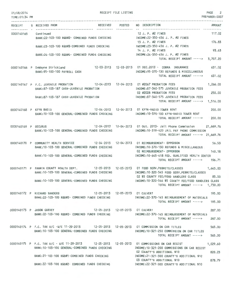| 01/08/2014<br>TIME: 01:34 PM |                                                                                                                                                                                                                                                      | RECEIPT FILE LISTING   |                                                                                                                                                           | PAGE 2<br>PREPARER:0007   |
|------------------------------|------------------------------------------------------------------------------------------------------------------------------------------------------------------------------------------------------------------------------------------------------|------------------------|-----------------------------------------------------------------------------------------------------------------------------------------------------------|---------------------------|
|                              | RECEIPT S RECEIVED FROM                                                                                                                                                                                                                              |                        | RECEIVED POSTED NO DESCRIPTION                                                                                                                            | <b>AMOUNT</b><br>.        |
|                              | 0000140165 Continued<br>BANK:22-103-100 R&B#2- COMBINED FUNDS CHECKING MANUSIC RESID-456 J. P. #2 FINES                                                                                                                                              | ----------- ---------- | 12 J. P. #2 FINES                                                                                                                                         | 117.02                    |
|                              | BANK:23-103-100 R&B#3-COMBINED FUNDS CHECKING                                                                                                                                                                                                        |                        | 13 J. P. #2 FINES<br>INCOME:23-350-456 J. P. #2 FINES<br>14 J. P. #2 FINES                                                                                | 176.83<br>93.63           |
|                              | BANK:24-103-100 R&B#4- COMBINED FUNDS CHECKING                                                                                                                                                                                                       |                        | INCOME:24-350-456 J. P. #2 FINES<br>TOTAL RECEIPT AMOUNT -----> 3,707.20                                                                                  |                           |
|                              | 0000140166 P DeWayne Strickland 12-03-2013 12-03-2013 01 DEC.2013 - COBRA INSURANCE<br>BANK:95-100-100 PAYROLL CASH                                                                                                                                  |                        | INCOME: 95-370-130 REFUNDS & MISCELLANEOUS<br>TOTAL RECEIPT AMOUNT ----->                                                                                 | 631,02<br>631.02          |
|                              | 0000140167 P F.C. JUVENILE PROBATION 12-04-2013 12-04-2013 01 #2067 PROBATION FEES<br>BANK:87-103-187 CASH-JUVENILE PROBATION                                                                                                                        |                        | INCOME:87-340-575 JUVENILE PROBATION FEES                                                                                                                 | 1,266.00                  |
|                              | BANK: 87-103-187 CASH-JUVENILE PROBATION                                                                                                                                                                                                             |                        | 02 #2028 PROBATION FEES<br>INCOME:87-340-575 JUVENILE PROBATION FEES<br>TOTAL RECEIPT AMOUNT ----->                                                       | 250.00<br>1,516.00        |
|                              | 12-04-2013  12-04-2013  01 KFYN-RADIO TOWER RENT<br>0000140168 P KFYN RADIO<br>BANK: 10-103-100 GENERAL-COMBINED FUNDS CHECKING                                                                                                                      |                        | INCOME:10-370-100 KFYN-RADIO TOWER RENT<br>TOTAL RECEIPT AMOUNT ----->                                                                                    | 200,00<br>200,00          |
| 0000140169 P SECURUS         | BANK: 10-103-100 GENERAL-COMBINED FUNDS CHECKING                                                                                                                                                                                                     |                        | 12-04-2013  12-04-2013  01 Oct. 2013- Jail Phone Commission<br>INCOME:10-319-420 JAIL PAY PHONE COMMISSION<br>TOTAL RECEIPT AMOUNT -----> 21,669.76       | 21,669,76                 |
|                              | 0000140170 P COMMUNITY HEALTH SERVICE 12-04-2013 12-04-2013 01 REIMBURSEMENT- EPPERSON<br>BANK: 10-103-100 GENERAL-COMBINED FUNDS CHECKING<br>BANK:10-103-100 GENERAL-COMBINED FUNDS CHECKING                                                        |                        | INCOME: 10-370-130 REFUNDS & MISCELLANEOUS<br>02 REIMBURSEMENT- EPPERSON<br>INCOME:10-645-418 FED. QUALIFIED HEALTH CENTER<br>TOTAL RECEIPT AMOUNT -----> | 56.53<br>140,18<br>196.71 |
|                              | 0000140171 P FANNIN COUNTY HEALTH DEPT. 12-05-2013 12-05-2013 01 FOOD SERV.PERMITS/CLASSES<br>BANK: 10-103-100 GENERAL-COMBINED FUNDS CHECKING<br>BANK:10-103-100 GENERAL-COMBINED FUNDS CHECKING MODE:10-320-546 \$5 COUNTY FEE/FOOD HANDLERS CLASS |                        | INCOME:10-320-545 FOOD SERV.PERMITS/CLASSES<br>02 \$5 COUNTY FEE/FOOD HANDLERS CLASS 85.00<br>TOTAL RECEIPT AMOUNT -----> 1,730.00                        | 1,645.00                  |
|                              | 0000140172 P RICHARD SANDERS 12-05-2013 12-05-2013 01 CULVERT<br>BANK:22-103-100 R&B#2- COMBINED FUNDS CHECKING [NOCOME:22-370-145 REIMBURSEMENT OF MATERIALS                                                                                        |                        | TOTAL RECEIPT AMOUNT -----> 195.00                                                                                                                        | 195,00                    |
|                              | 0000140173 P JASON GARVEY 12-05-2013 12-05-2013 01 CULVERT<br>BANK:22-103-100 R&B#2- COMBINED FUNDS CHECKING                                                                                                                                         |                        | INCOME:22-370-145 REIMBURSEMENT OF MATERIALS<br>TOTAL RECEIPT AMOUNT ----->                                                                               | 287.00<br>287.00          |
|                              | 0000140174 P F.C. TAX A/C -W/E 11-29-2013 12-05-2013 12-05-2013 01 COMMISSION ON CAR TITLES<br>BANK:10-103-100 GENERAL-COMBINED FUNDS CHECKING MODE:10-321-250 COMMISSION ON CAR TITLES                                                              |                        | TOTAL RECEIPT AMOUNT -----> 565.00                                                                                                                        | 565,00                    |
|                              | 0000140175 P F.C. TAX A/C - W/E 11-29-2013 12-05-2013 12-05-2013 01 COMMISSIONS ON CAR REGIST<br>BANK:10-103-100 GENERAL-COMBINED FUNDS CHECKING                                                                                                     |                        | INCOME:10-321-200 COMMISSIONS ON CAR REGIST<br>02 COUNTY'S ADDITIONAL \$10                                                                                | 1,029.60<br>820.23        |
|                              | BANK:21-103-100 R&B#1-COMBINED FUNDS CHECKING MASS INCOME:21-321-300 COUNTY'S ADDITIONAL \$10<br>BANK: 22-103-100 R&B#2- COMBINED FUNDS CHECKING                                                                                                     |                        | 03 COUNTY'S ADDITIONAL \$10<br>INCOME:22-321-300 COUNTY'S ADDITIONAL \$10                                                                                 | 878.79                    |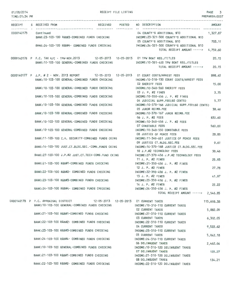| 01/08/2014<br>TIME: 01:34 PM | RECEIPT FILE LISTING                                                                                                                          | PAGE 3<br>PREPARER:0007                                                                                                |
|------------------------------|-----------------------------------------------------------------------------------------------------------------------------------------------|------------------------------------------------------------------------------------------------------------------------|
| ---------------------        | RECEIVED POSTED NO DESCRIPTION<br>RECEIPT S RECEIVED FROM                                                                                     | <b>AMOUNT</b>                                                                                                          |
| 0000140175 Continued         | BANK:23-103-100 R&B#3-COMBINED FUNDS CHECKING MACHINE:23-321-300 COUNTY'S ADDITIONAL \$10                                                     | 04 COUNTY'S ADDITIONAL \$10 1,327.87                                                                                   |
|                              | BANK:24-103-100 R&B#4- COMBINED FUNDS CHECKING MODE:24-321-300 COUNTY'S ADDITIONAL \$10                                                       | 05 COUNTY'S ADDITIONAL \$10<br>703.11<br>TOTAL RECEIPT AMOUNT -----> 4,759.60                                          |
|                              | 0000140176 P F.C. TAX A/C - TPW-NOV.2013 12-05-2013 12-05-2013 01 TPW BOAT REG./TITLES<br>BANK: 10-103-100 GENERAL-COMBINED FUNDS CHECKING    | 20.15<br>INCOME:10-321-400 TPW BOAT REG./TITLES<br>20,15<br>TOTAL RECEIPT AMOUNT ----->                                |
|                              | 0000140177 P J.P. # 2 - NOV. 2013 REPORT 12-05-2013 12-05-2013 01 COURT COSTS/ARREST FEES<br>BANK: 10-103-100 GENERAL-COMBINED FUNDS CHECKING | 898.45<br>INCOME:10-318-130 COURT COSTS/ARREST FEES                                                                    |
|                              | BANK:10-103-100 GENERAL-COMBINED FUNDS CHECKING                                                                                               | 02 SHERIFF FEES<br>15,00<br>INCOME:10-340-560 SHERIFF FEES                                                             |
|                              | BANK:10-103-100 GENERAL-COMBINED FUNDS CHECKING                                                                                               | 03 J. P. #2 FINES<br>3.75<br>INCOME: 10-350-456 J. P. #2 FINES                                                         |
|                              | BANK: 10-103-100 GENERAL-COMBINED FUNDS CHECKING                                                                                              | 5.77<br>04 JUDICIAL SUPP.FEE(60 CENTS)<br>INCOME:10-370-166 JUDICIAL SUPP.FEE(60 CENTS)<br>05 JUROR REIMB.FEE<br>38.46 |
|                              | BANK: 10-103-100 GENERAL-COMBINED FUNDS CHECKING                                                                                              | INCOME:10-370-167 JUROR REIMB.FEE<br>06 J. P. #2 FEES<br>830.60                                                        |
|                              | BANK:10-103-100 GENERAL-COMBINED FUNDS CHECKING                                                                                               | INCOME:10-340-456 J. P. #2 FEES<br>07 CONSTABLE FEES<br>560.00                                                         |
|                              | BANK:10-103-100 GENERAL-COMBINED FUNDS CHECKING                                                                                               | INCOME:10-340-550 CONSTABLE FEES<br>28.85<br>08 JUSTICE OF PEACE FEES                                                  |
|                              | BANK: 11-103-100 C.H. SECURITY-COMBINED FUNDS CKING                                                                                           | INCOME:11-340-651 JUSTICE OF PEACE FEES<br>9.61<br>09 JUSTICE CT.BLDG.SEC.FEE                                          |
|                              | BANK: 14-103-100 JUST.CT.BLDG.SEC.-COMB.FUNDS CKING                                                                                           | INCOME: 14-370-168 JUSTICE CT.BLDG.SEC.FEE<br>10 J.P.#2 TECHNOLOGY FEES<br>38.46                                       |
|                              | BANK:27-103-100 J.P.#2 JUST.CT.TECH-COMB.FUND CKING<br>BANK:21-103-100 R&B#1-COMBINED FUNDS CHECKING                                          | INCOME: 27-370-456 J.P.#2 TECHNOLOGY FEES<br>11 J. P. #2 FINES<br>25.93<br>INCOME: 21-350-456 J. P. #2 FINES           |
|                              | BANK:22-103-100 R&B#2- COMBINED FUNDS CHECKING                                                                                                | 27.78<br>12 J. P. #2 FINES<br>INCOME: 22-350-456 J. P. #2 FINES                                                        |
|                              | BANK:23-103-100 R&B#3-COMBINED FUNDS CHECKING                                                                                                 | 41.97<br>13 J. P. #2 FINES<br>INCOME:23-350-456 J. P. #2 FINES                                                         |
|                              | BANK:24-103-100 R&B#4- COMBINED FUNDS CHECKING                                                                                                | 14 J. P. #2 FINES<br>22.22<br>INCOME: 24-350-456 J. P. #2 FINES                                                        |
|                              |                                                                                                                                               | TOTAL RECEIPT AMOUNT -----> 2,546.85                                                                                   |
|                              | 0000140178 P F.C. APPRAISAL DISTRICT 42-05-2013 12-05-2013 01 CURRENT TAXES<br>BANK:10-103-100 GENERAL-COMBINED FUNDS CHECKING                | 115,608.38<br>INCOME: 10-310-110 CURRENT TAXES<br>02 CURRENT TAXES<br>5,882.09                                         |
|                              | BANK:21-103-100 R&B#1-COMBINED FUNDS CHECKING                                                                                                 | INCOME: 21-310-110 CURRENT TAXES<br>03 CURRENT TAXES<br>6,302.05                                                       |
|                              | BANK:22-103-100 R&B#2- COMBINED FUNDS CHECKING                                                                                                | INCOME: 22-310-110 CURRENT TAXES<br>04 CURRENT TAXES<br>9,522.62                                                       |
|                              | BANK:23-103-100 R&B#3-COMBINED FUNDS CHECKING                                                                                                 | INCOME: 23-310-110 CURRENT TAXES<br>05 CURRENT TAXES<br>5,042.18                                                       |
|                              | BANK:24-103-100 R&B#4- COMBINED FUNDS CHECKING                                                                                                | INCOME:24-310-110 CURRENT TAXES<br>06 DELINQUENT TAXES<br>2,462.04                                                     |
|                              | BANK: 10-103-100 GENERAL-COMBINED FUNDS CHECKING<br>BANK:21-103-100 R&B#1-COMBINED FUNDS CHECKING                                             | INCOME: 10-310-120 DELINQUENT TAXES<br>07 DELINQUENT TAXES<br>125.27<br>INCOME: 21-310-120 DELINQUENT TAXES            |
|                              |                                                                                                                                               | 08 DELINQUENT TAXES<br>134.21                                                                                          |

BANK:22-103-100 R&B#2- COMBINED FUNDS CHECKING

INCOME:22-310-120 DELINQUENT TAXES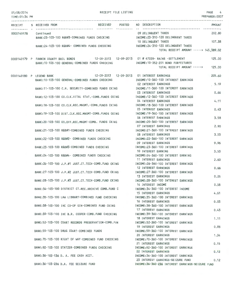| 01/08/2014<br>TIME: 01:34 PM | RECEIPT FILE LISTING                                                                                                                          |                                                                                                     | PAGE 4<br>PREPARER: 0007 |
|------------------------------|-----------------------------------------------------------------------------------------------------------------------------------------------|-----------------------------------------------------------------------------------------------------|--------------------------|
|                              | RECEIPT S RECEIVED FROM                                                                                                                       | RECEIVED POSTED NO DESCRIPTION<br>-------------------------------------                             | <b>AMOUNT</b>            |
| 0000140178 Continued         | BANK:23-103-100 R&B#3-COMBINED FUNDS CHECKING THE TROOME:23-310-120 DELINQUENT TAXES                                                          | 09 DELINQUENT TAXES                                                                                 | 202.80<br>107.38         |
|                              | BANK:24-103-100 R&B#4- COMBINED FUNDS CHECKING                                                                                                | 10 DELINQUENT TAXES<br>INCOME:24-310-120 DELINQUENT TAXES<br>TOTAL RECEIPT AMOUNT -----> 145,389.02 |                          |
|                              | 0000140179 P FANNIN COUNTY BAIL BONDS 12-09-2013 12-09-2013 01 # 47229- RAINS -SETTLEMENT<br>BANK: 10-103-100 GENERAL-COMBINED FUNDS CHECKING | INCOME:10-352-201 BOND FORFEITURES                                                                  | 125.00                   |
|                              |                                                                                                                                               | TOTAL RECEIPT AMOUNT ----->                                                                         | 125.00                   |
|                              | 12-09-2013  12-09-2013  01 INTEREST EARNINGS<br>0000140180 P LEGEND BANK<br>BANK:10-103-100 GENERAL-COMBINED FUNDS CHECKING                   | INCOME: 10-360-100 INTEREST EARNINGS                                                                | 205.60                   |
|                              | BANK: 11-103-100 C.H. SECURITY-COMBINED FUNDS CKING                                                                                           | 02 INTEREST EARNINGS<br>INCOME: 11-360-100 INTEREST EARNINGS                                        | 5.19                     |
|                              | BANK: 12-103-100 CO.CLK.VITAL STAT.-COMB.FUNDS CKING                                                                                          | 03 INTEREST EARNINGS<br>INCOME: 12-360-100 INTEREST EARNINGS                                        | 0.66                     |
|                              | BANK:18-103-100 CO.CLK.REC.MNGMT.-COMB.FUNDS CKING                                                                                            | 04 INTEREST EARNINGS<br>INCOME: 18-360-100 INTEREST EARNINGS                                        | 4.11                     |
|                              | BANK: 19-103-100 DIST.CLK.REC.MNGMT-COMB.FUNDS CKING                                                                                          | 05 INTEREST EARNINGS<br>INCOME: 19-360-100 INTEREST EARNINGS                                        | 0.43                     |
|                              | BANK:20-103-100 CO.OFF.REC.MNGMT-COMB. FUNDS CKING                                                                                            | 06 INTEREST EARNINGS<br>INCOME: 20-360-100 INTEREST EARNINGS                                        | 3.58                     |
|                              | BANK:21-103-100 R&B#1-COMBINED FUNDS CHECKING                                                                                                 | 07 INTEREST EARNINGS<br>INCOME: 21-360-100 INTEREST EARNINGS                                        | 2.90                     |
|                              |                                                                                                                                               | 08 INTEREST EARNINGS                                                                                | 3.53                     |
|                              | BANK:22-103-100 R&B#2- COMBINED FUNDS CHECKING                                                                                                | INCOME: 22-360-100 INTEREST EARNINGS<br>09 INTEREST EARNINGS                                        | 9.96                     |
|                              | BANK:23-103-100 R&B#3-COMBINED FUNDS CHECKING                                                                                                 | INCOME: 23-360-100 INTEREST EARNINGS<br>10 INTEREST EARNING                                         | 3.53                     |
|                              | BANK:24-103-100 R&B#4- COMBINED FUNDS CHECKING                                                                                                | INCOME: 24-360-100 INTEREST EARNING<br>11 INTEREST EARNINGS                                         | 2.60                     |
|                              | BANK:26-103-100 J.P.#1 JUST.CT.TECH-COMB.FUND CKING                                                                                           | INCOME: 26-360-100 INTEREST EARNINGS<br>12 INTEREST EARNINGS                                        | 0.66                     |
|                              | BANK:27-103-100 J.P.#2 JUST.CT.TECH-COMB.FUND CKING                                                                                           | INCOME: 27-360-100 INTEREST EARNINGS<br>13 INTEREST EARNINGS                                        | 0.25                     |
|                              | BANK:28-103-100 J.P.#3 JUST.CT.TECH-COMB.FUND CKING                                                                                           | INCOME: 28-360-100 INTEREST EARNINGS<br>14 INTEREST INCOME                                          | 0.58                     |
|                              | BANK:34-103-100 DISTRICT CT.REC.ARCHIVE COMB.FUND C                                                                                           | INCOME: 34-360-100 INTEREST INCOME<br>15 INTEREST EARNINGS                                          | 4.61                     |
|                              | BANK: 35-103-100 LAW LIBRARY-COMBINED FUND CHECKING                                                                                           | INCOME: 35-360-100 INTEREST EARNINGS<br>16 INTEREST EARNINGS                                        | 0.03                     |
|                              | BANK:38-103-100 IHC CO-OP GIN-COMBINED FUND CKING                                                                                             | INCOME: 38-360-100 INTEREST EARNINGS<br>17 INTEREST EARNINGS                                        | 0.43                     |
|                              | BANK: 39-103-100 IHC B.R. COOPER-COMB. FUND CHECKING                                                                                          | INCOME: 39-360-100 INTEREST EARNINGS<br>18 INTEREST EARNINGS                                        |                          |
|                              | BANK:52-103-100 COURT RECORDS PRESERVATION-COMB.FUN                                                                                           | INCOME: 52-360-100 INTEREST EARNINGS                                                                | 1.11                     |
|                              | BANK:59-103-100 DRUG COURT-COMBINED FUNDS                                                                                                     | 19 INTEREST EARNINGS<br>INCOME: 59-360-100 INTEREST EARNINGS                                        | 0.93                     |
|                              | BANK:70-103-100 RIGHT OF WAY-COMBINED FUND CHECKING                                                                                           | 20 INTEREST EARNINGS<br>INCOME: 70-360-100 INTEREST EARNINGS                                        | 1.34                     |
|                              | BANK:92-103-100 STATZER-COMBINED FUNDS CHECKING                                                                                               | 21 INTEREST EARNINGS<br>INCOME: 92-360-100 INTEREST EARNINGS                                        | 0.15                     |
|                              | BANK: 36-103-136 D. A. FEE CASH ACCT.                                                                                                         | 22 INTEREST EARNINGS<br>INCOME: 36-360-100 INTEREST EARNINGS                                        | 0.12                     |
|                              | BANK: 36-103-236 D.A. FEE SEIZURE FUND                                                                                                        | 23 INTEREST EARNINGS-SEIZURE FUND<br>INCOME: 36-360-236 INTEREST EARNINGS-SEIZURE FUND              | 0.12                     |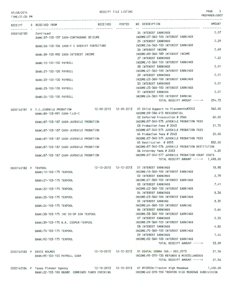RECEIPT FILE LISTING **PAGE** 5

PREPARER:0007

| TIME:01:34 PM        |                                     |                                                |                                |                                                                                                                                         |               |
|----------------------|-------------------------------------|------------------------------------------------|--------------------------------|-----------------------------------------------------------------------------------------------------------------------------------------|---------------|
| RECEIPT              | S RECEIVED FROM                     |                                                | RECEIVED POSTED<br>----------- | NO DESCRIPTION                                                                                                                          | <b>AMOUNT</b> |
| 0000140180           | Continued                           |                                                |                                | 24 INTEREST EARNINGS                                                                                                                    | 0.07          |
|                      |                                     | BANK: 37-103-137 CASH-CONTRABAND SEIZURE       |                                | INCOME: 37-360-100 INTEREST EARNINGS                                                                                                    | 0.29          |
|                      |                                     | BANK:56-103-156 CASH-F C SHERIFF FORFEITURE    |                                | 25 INTEREST EARNINGS<br>INCOME: 56-360-100 INTEREST EARNINGS                                                                            |               |
|                      |                                     |                                                |                                | 26 INTEREST INCOME                                                                                                                      | 0.69          |
|                      |                                     | BANK: 89-103-992 CASH-INTEREST INCOME          |                                | INCOME: 89-360-189 INTEREST INCOME                                                                                                      |               |
|                      |                                     |                                                |                                | 27 INTEREST EARNINGS<br>INCOME: 10-360-100 INTEREST EARNINGS                                                                            | 1.22          |
|                      | BANK: 10-100-100 PAYROLL            |                                                |                                | 28 INTEREST EARNINGS                                                                                                                    | 0.01          |
|                      | BANK: 21-100-100 PAYROLL            |                                                |                                | INCOME: 21-360-100 INTEREST EARNINGS                                                                                                    |               |
|                      |                                     |                                                |                                | 29 INTEREST EARNINGS                                                                                                                    | 0.01          |
|                      | BANK: 22-100-100 PAYROLL            |                                                |                                | INCOME: 22-360-100 INTEREST EARNINGS<br><b>30 INTEREST EARNINGS</b>                                                                     | 0.01          |
|                      | BANK: 23-100-100 PAYROLL            |                                                |                                | INCOME: 23-360-100 INTEREST EARNINGS                                                                                                    |               |
|                      |                                     |                                                |                                | <b>31 INTEREST EARNING</b>                                                                                                              | 0.01          |
|                      | BANK: 24-100-100 PAYROLL            |                                                |                                | INCOME: 24-360-100 INTEREST EARNING                                                                                                     |               |
|                      |                                     |                                                |                                | TOTAL RECEIPT AMOUNT ----->                                                                                                             | 254.73        |
|                      | 0000140181 P F.C.JUVENILE PROBATION |                                                |                                | 12-09-2013  12-09-2013  01 Child Support to Placements#2043                                                                             | 560.00        |
|                      | BANK:89-103-991 CASH-TJJD-C         |                                                |                                | INCOME: 89-586-415 RESIDENTIAL                                                                                                          |               |
|                      |                                     | BANK: 87-103-187 CASH-JUVENILE PROBATION       |                                | 02 Deferred Prosecution # 2064<br>INCOME:87-340-575 JUVENILE PROBATION FEES                                                             | 60.00         |
|                      |                                     |                                                |                                | 03 Probation Fees # 2043                                                                                                                | 21.75         |
|                      |                                     | BANK:87-103-187 CASH-JUVENILE PROBATION        |                                | INCOME:87-340-575 JUVENILE PROBATION FEES                                                                                               |               |
|                      |                                     |                                                |                                | 04 Probation fees # 2043                                                                                                                | 20,00         |
|                      |                                     | BANK: 87-103-187 CASH-JUVENILE PROBATION       |                                | INCOME:87-340-575 JUVENILE PROBATION FEES<br>05 Restitution # 2053                                                                      | 832.00        |
|                      |                                     | BANK:87-103-187 CASH-JUVENILE PROBATION        |                                | INCOME:87-340-576 JUVENILE PROBATION RESTITUTION                                                                                        |               |
|                      |                                     |                                                |                                | 06 Attorney fees # 2043                                                                                                                 | 4.25          |
|                      |                                     | BANK:87-103-187 CASH-JUVENILE PROBATION        |                                | INCOME:87-340-577 JUVENILE PROBATION COURT COSTS<br>TOTAL RECEIPT AMOUNT -----> 1,498.00                                                |               |
|                      |                                     |                                                |                                |                                                                                                                                         |               |
| 0000140182 P TEXPOOL |                                     |                                                |                                | 12-10-2013  12-10-2013  01 INTEREST EARNINGS                                                                                            | 18.98         |
|                      | BANK: 10-103-175 TEXPOOL            |                                                |                                | INCOME: 10-360-100 INTEREST EARNINGS<br><b>02 INTEREST EARNINGS</b>                                                                     | 2.79          |
|                      | BANK: 21-103-175 TEXPOOL            |                                                |                                | INCOME: 21-360-100 INTEREST EARNINGS                                                                                                    |               |
|                      |                                     |                                                |                                | 03 INTEREST EARNINGS                                                                                                                    | 7.41          |
|                      | BANK: 22-103-175 TEXPOOL            |                                                |                                | INCOME: 22-360-100 INTEREST EARNINGS                                                                                                    |               |
|                      | BANK: 23-103-175 TEXPOOL            |                                                |                                | 04 INTEREST EARNINGS<br>INCOME: 23-360-100 INTEREST EARNINGS                                                                            | 8.36          |
|                      |                                     |                                                |                                | 05 INTEREST EARNING                                                                                                                     | 8.35          |
|                      | BANK: 24-103-175 TEXPOOL            |                                                |                                | INCOME: 24-360-100 INTEREST EARNING                                                                                                     |               |
|                      |                                     | BANK: 38-103-175 IHC CO-OP GIN TEXPOOL         |                                | 06 INTEREST EARNINGS<br>INCOME: 38-360-100 INTEREST EARNINGS                                                                            | 0.64          |
|                      |                                     |                                                |                                | 07 INTEREST EARNINGS                                                                                                                    | 0.30          |
|                      |                                     | BANK: 39-103-175 B.R. COOPER-TEXPOOL           |                                | INCOME: 39-360-100 INTEREST EARNINGS                                                                                                    |               |
|                      |                                     |                                                |                                | 08 INTEREST EARNINGS                                                                                                                    | 4.82          |
|                      | BANK: 70-103-175 TEXPOOL            |                                                |                                | INCOME: 70-360-100 INTEREST EARNINGS<br>09 INTEREST EARNINGS                                                                            | 1.44          |
|                      | BANK: 92-103-175 TEXPOOL            |                                                |                                | INCOME: 92-360-100 INTEREST EARNINGS                                                                                                    |               |
|                      |                                     |                                                |                                | TOTAL RECEIPT AMOUNT ----->                                                                                                             | 53.09         |
|                      | 0000140183 P DAVID HOLMES           |                                                |                                | 12-10-2013  12-10-2013  01 DENTAL COBRA INS.- DEC.2013                                                                                  | 21.56         |
|                      | BANK:95-100-100 PAYROLL CASH        |                                                |                                | INCOME: 95-370-130 REFUNDS & MISCELLANEOUS                                                                                              |               |
|                      |                                     |                                                |                                | TOTAL RECEIPT AMOUNT ----->                                                                                                             | 21.56         |
|                      | 0000140184 P Texas Pioneer Agency   | BANK:22-103-100 R&B#2- COMBINED FUNDS CHECKING |                                | 12-10-2013     12-10-2013     01                    #109556-Trenton High Meadows<br>INCOME: 22-370-150 TRENTON HIGH MEADOWS SUBDIVISION | 1,400.00      |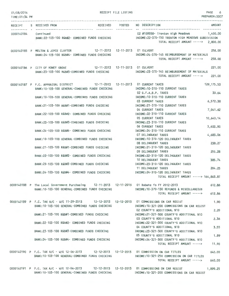| 01/08/2014<br>TIME: 01:34 PM |                                                                                                                                                                                                    | RECEIPT FILE LISTING |                                                                                                           | PAGE<br>6<br>PREPARER: 0007 |
|------------------------------|----------------------------------------------------------------------------------------------------------------------------------------------------------------------------------------------------|----------------------|-----------------------------------------------------------------------------------------------------------|-----------------------------|
|                              | RECEIPT S RECEIVED FROM                                                                                                                                                                            |                      | RECEIVED POSTED NO DESCRIPTION                                                                            | AMOUNT                      |
|                              | 0000140184 Continued<br>BANK:22-103-100 R&B#2- COMBINED FUNDS CHECKING INCOME:22-370-150 TRENTON HIGH MEADOWS SUBDIVISION                                                                          |                      | 02 #109558- Trenton High Meadows 1,400.00<br>TOTAL RECEIPT AMOUNT -----> 2,800.00                         |                             |
|                              | 0000140185 P MELTON & JOYCE CLAYTOR 12-11-2013 12-11-2013 01 CULVERT<br>BANK: 24-103-100 R&B#4- COMBINED FUNDS CHECKING                                                                            |                      | INCOME: 24-370-145 REIMBURSEMENT OF MATERIALS<br>TOTAL RECEIPT AMOUNT ----->                              | 258.00<br>258,00            |
|                              | 12-11-2013  12-11-2013  01 CULVERT<br>0000140186 P CITY OF HONEY GROVE<br>BANK:23-103-100 R&B#3-COMBINED FUNDS CHECKING                                                                            |                      | INCOME: 23-370-145 REIMBURSEMENT OF MATERIALS<br>TOTAL RECEIPT AMOUNT ----->                              | 221.00<br>221.00            |
|                              | 0000140187 P F.C. APPRAISAL DISTRICT 12-11-2013 12-11-2013 01 CURRENT TAXES<br>BANK: 10-103-100 GENERAL-COMBINED FUNDS CHECKING                                                                    |                      | INCOME: 10-310-110 CURRENT TAXES                                                                          | 129, 175.53                 |
|                              | BANK: 10-103-100 GENERAL-COMBINED FUNDS CHECKING                                                                                                                                                   |                      | 02 G.F.A.B.P. TAXES<br>INCOME: 10-310-110 CURRENT TAXES                                                   | 33.64                       |
|                              | BANK:21-103-100 R&B#1-COMBINED FUNDS CHECKING                                                                                                                                                      |                      | 03 CURRENT TAXES<br>INCOME:21-310-110 CURRENT TAXES<br>04 CURRENT TAXES                                   | 6,572.38<br>7,041.62        |
|                              | BANK: 22-103-100 R&B#2- COMBINED FUNDS CHECKING                                                                                                                                                    |                      | INCOME: 22-310-110 CURRENT TAXES<br>05 CURRENT TAXES                                                      | 10,640.14                   |
|                              | BANK:23-103-100 R&B#3-COMBINED FUNDS CHECKING                                                                                                                                                      |                      | INCOME: 23-310-110 CURRENT TAXES<br>06 CURRENT TAXES                                                      | 5,633.90                    |
|                              | BANK: 24-103-100 R&B#4- COMBINED FUNDS CHECKING                                                                                                                                                    |                      | INCOME: 24-310-110 CURRENT TAXES<br>07 DELINQUENT TAXES                                                   | 4,683.06                    |
|                              | BANK: 10-103-100 GENERAL-COMBINED FUNDS CHECKING<br>BANK:21-103-100 R&B#1-COMBINED FUNDS CHECKING                                                                                                  |                      | INCOME: 10-310-120 DELINQUENT TAXES<br><b>08 DELINQUENT TAXES</b><br>INCOME:21-310-120 DELINQUENT TAXES   | 238.27                      |
|                              | BANK: 22-103-100 R&B#2- COMBINED FUNDS CHECKING                                                                                                                                                    |                      | 09 DELINQUENT TAXES<br>INCOME: 22-310-120 DELINQUENT TAXES                                                | 255.28                      |
|                              | BANK: 23-103-100 R&B#3-COMBINED FUNDS CHECKING                                                                                                                                                     |                      | 10 DELINQUENT TAXES<br>INCOME: 23-310-120 DELINQUENT TAXES                                                | 385.74                      |
|                              | BANK: 24-103-100 R&B#4- COMBINED FUNDS CHECKING                                                                                                                                                    |                      | 11 DELINQUENT TAXES<br>INCOME: 24-310-120 DELINQUENT TAXES<br>TOTAL RECEIPT AMOUNT -----> 164,863.81      | 204.25                      |
|                              | 0000140188 P The Local Government Purchasing 12-11-2013 12-11-2013 01 Rebate fo FY 2012-2013<br>BANK:10-103-100 GENERAL-COMBINED FUNDS CHECKING                                                    |                      | INCOME:10-370-130 REFUNDS & MISCELLANEOUS                                                                 | 612.86                      |
|                              |                                                                                                                                                                                                    |                      | TOTAL RECEIPT AMOUNT ----->                                                                               | 612.86                      |
|                              | 0000140189 P F.C. TAX A/C - W/E 11-29-2013 12-12-2013 12-12-2013 01 COMMISSIONS ON CAR REGIST<br>BANK: 10-103-100 GENERAL-COMBINED FUNDS CHECKING                                                  |                      | INCOME: 10-321-200 COMMISSIONS ON CAR REGIST                                                              | 1.90                        |
|                              | BANK:21-103-100 R&B#1-COMBINED FUNDS CHECKING                                                                                                                                                      |                      | 02 COUNTY'S ADDITIONAL \$10<br>INCOME:21-321-300 COUNTY'S ADDITIONAL \$10                                 | 2.20                        |
|                              | BANK: 22-103-100 R&B#2- COMBINED FUNDS CHECKING                                                                                                                                                    |                      | 03 COUNTY'S ADDITIONAL \$10<br>INCOME: 22-321-300 COUNTY'S ADDITIONAL \$10<br>04 COUNTY'S ADDITIONAL \$10 | 2.36<br>3.55                |
|                              | BANK:23-103-100 R&B#3-COMBINED FUNDS CHECKING                                                                                                                                                      |                      | INCOME:23-321-300 COUNTY'S ADDITIONAL \$10<br>05 COUNTY'S ADDITIONAL \$10                                 | 1.89                        |
|                              | BANK:24-103-100 R&B#4- COMBINED FUNDS CHECKING                                                                                                                                                     |                      | INCOME:24-321-300 COUNTY'S ADDITIONAL \$10<br>TOTAL RECEIPT AMOUNT ----->                                 | 11.90                       |
|                              | 0000140190 P F.C. TAX A/C - W/E 12-06-2013 12-12-2013 12-12-2013 01 COMMISSION ON CAR TITLES<br>BANK:10-103-100 GENERAL-COMBINED FUNDS CHECKING                                                    |                      | INCOME:10-321-250 COMMISSION ON CAR TITLES                                                                | 640.00                      |
|                              | 0000140191 P F.C. TAX A/C - W/E 12-06-2013 12-12-2013 12-12-2013 01 COMMISSIONS ON CAR REGIST<br>BANK:10-103-100 GENERAL-COMBINED FUNDS CHECKING NORTH INCOME:10-321-200 COMMISSIONS ON CAR REGIST |                      | TOTAL RECEIPT AMOUNT ----->                                                                               | 640.00<br>1,899.25          |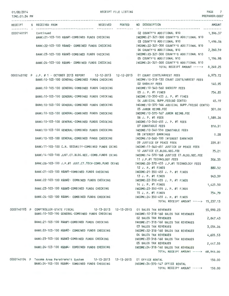#### $01$

| 01/08/2014<br>TIME: 01:34 PM | RECEIPT FILE LISTING                                                                                                                          | PAGE 7<br>PREPARER: 0007                                                              |  |
|------------------------------|-----------------------------------------------------------------------------------------------------------------------------------------------|---------------------------------------------------------------------------------------|--|
|                              |                                                                                                                                               |                                                                                       |  |
|                              | RECEIVED POSTED<br>RECEIPT S RECEIVED FROM                                                                                                    | NO DESCRIPTION<br>AMOUNT                                                              |  |
| 0000140191 Continued         |                                                                                                                                               | 02 COUNTY'S ADDITIONAL \$10<br>1,396.37                                               |  |
|                              | BANK:21-103-100 R&B#1-COMBINED FUNDS CHECKING                                                                                                 | INCOME:21-321-300 COUNTY'S ADDITIONAL \$10<br>03 COUNTY'S ADDITIONAL \$10<br>1,496.06 |  |
|                              | BANK:22-103-100 R&B#2- COMBINED FUNDS CHECKING                                                                                                | INCOME:22-321-300 COUNTY'S ADDITIONAL \$10<br>04 COUNTY'S ADDITIONAL \$10<br>2,260.59 |  |
|                              | BANK:23-103-100 R&B#3-COMBINED FUNDS CHECKING [INCOME:23-321-300 COUNTY'S ADDITIONAL \$10                                                     | 05 COUNTY'S ADDITIONAL \$10<br>1,196.98                                               |  |
|                              | BANK:24-103-100 R&B#4- COMBINED FUNDS CHECKING [INCOME:24-321-300 COUNTY'S ADDITIONAL \$10                                                    | TOTAL RECEIPT AMOUNT -----><br>8,249.25                                               |  |
|                              | 0000140192 P J.P. # 1 - OCTOBER 2013 REPORT 12-12-2013 12-12-2013 01 COURT COSTS/ARREST FEES                                                  | 6,973.72                                                                              |  |
|                              | BANK: 10-103-100 GENERAL-COMBINED FUNDS CHECKING                                                                                              | INCOME:10-318-130 COURT COSTS/ARREST FEES<br><b>02 SHERIFF FEES</b><br>140.95         |  |
|                              | BANK:10-103-100 GENERAL-COMBINED FUNDS CHECKING MANUSING INCOME:10-340-560 SHERIFF FEES                                                       | 03 J. P. #1 FINES<br>754.85                                                           |  |
|                              | BANK: 10-103-100 GENERAL-COMBINED FUNDS CHECKING                                                                                              | INCOME:10-350-455 J. P. #1 FINES<br>45.19<br>04 JUDICIAL SUPP.FEE(60 CENTS)           |  |
|                              | BANK:10-103-100 GENERAL-COMBINED FUNDS CHECKING                                                                                               | INCOME: 10-370-166 JUDICIAL SUPP.FEE(60 CENTS)                                        |  |
|                              | BANK: 10-103-100 GENERAL-COMBINED FUNDS CHECKING                                                                                              | 05 JUROR REIMB.FEE<br>301.00<br>INCOME:10-370-167 JUROR REIMB.FEE                     |  |
|                              | BANK:10-103-100 GENERAL-COMBINED FUNDS CHECKING                                                                                               | 06 J. P. #1 FEES<br>1,589.26<br>INCOME:10-340-455 J. P. #1 FEES                       |  |
|                              | BANK:10-103-100 GENERAL-COMBINED FUNDS CHECKING                                                                                               | 07 CONSTABLE FEES<br>816.31<br>INCOME:10-340-550 CONSTABLE FEES                       |  |
|                              | BANK: 10-103-100 GENERAL-COMBINED FUNDS CHECKING                                                                                              | 08 INTEREST EARNINGS<br>0.28<br>INCOME: 10-360-100 INTEREST EARNINGS                  |  |
|                              |                                                                                                                                               | 09 JUSTICE OF PEACE FEES<br>229.81                                                    |  |
|                              | BANK: 11-103-100 C.H. SECURITY-COMBINED FUNDS CKING                                                                                           | INCOME:11-340-651 JUSTICE OF PEACE FEES<br>10 JUSTICE CT.BLDG.SEC.FEE<br>75.21        |  |
|                              | BANK: 14-103-100 JUST.CT.BLDG.SEC.-COMB.FUNDS CKING                                                                                           | INCOME: 14-370-168 JUSTICE CT.BLDG.SEC.FEE<br>11 J.P.#1 TECHNOLOGY FEES<br>306.35     |  |
|                              | BANK:26-103-100 J.P.#1 JUST.CT.TECH-COMB.FUND CKING MODIONE:26-370-455 J.P.#1 TECHNOLOGY FEES                                                 | 12 J. P. #1 FINES<br>880.52                                                           |  |
|                              | BANK:21-103-100 R&B#1-COMBINED FUNDS CHECKING                                                                                                 | INCOME: 21-350-455 J. P. #1 FINES<br>13 J. P. #1 FINES<br>943.39                      |  |
|                              | BANK:22-103-100 R&B#2- COMBINED FUNDS CHECKING                                                                                                | INCOME:22-350-455 J. P. #1 FINES<br>14 J. P. #1 FINES<br>1,425.50                     |  |
|                              | BANK:23-103-100 R&B#3-COMBINED FUNDS CHECKING                                                                                                 | INCOME:23-350-455 J. P. #1 FINES<br>15 J. P. #1 FINES<br>754.79                       |  |
|                              | BANK:24-103-100 R&B#4- COMBINED FUNDS CHECKING                                                                                                | INCOME: 24-350-455 J. P. #1 FINES<br>TOTAL RECEIPT AMOUNT -----> 15,237.13            |  |
|                              |                                                                                                                                               |                                                                                       |  |
|                              | 0000140193 P COMPTROLLER-STATE FISCAL       12-13-2013  12-13-2013  01 SALES TAX REVENUES<br>BANK: 10-103-100 GENERAL-COMBINED FUNDS CHECKING | 55,990.23<br>INCOME: 10-318-160 SALES TAX REVENUES                                    |  |
|                              | BANK:21-103-100 R&B#1-COMBINED FUNDS CHECKING                                                                                                 | 02 SALES TAX REVENUES<br>2,847.43<br>INCOME:21-318-160 SALES TAX REVENUES             |  |
|                              | BANK:22-103-100 R&B#2- COMBINED FUNDS CHECKING                                                                                                | 03 SALES TAX REVENUES<br>3,054.26<br>INCOME: 22-318-160 SALES TAX REVENUES            |  |
|                              | BANK:23-103-100 R&B#3-COMBINED FUNDS CHECKING                                                                                                 | 04 SALES TAX REVENUES<br>4,605.53<br>INCOME: 23-318-160 SALES TAX REVENUES            |  |
|                              | BANK:24-103-100 R&B#4- COMBINED FUNDS CHECKING                                                                                                | 05 SALES TAX REVENUES<br>2,447.55<br>INCOME: 24-318-160 SALES TAX REVENUES            |  |
|                              |                                                                                                                                               | TOTAL RECEIPT AMOUNT -----> 68,945.00                                                 |  |

0000140194 P Texoma Area Paratransit System 12- 13-2013 12- 13-2013 01 OFFICE RENTAL BANK:24-103-100 R&B#4- COMBINED FUNDS CHECKING INCOME:24-370- 147 OFFICE RENTAL

TOTAL RECEIPT AMOUNT -----> 150.00

150.00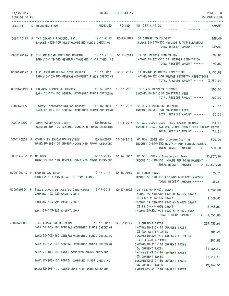| 01/08/2014<br>TIME:01:34 PM |                                                                                                                                                     | RECEIPT FILE LISTING |                                                                                                                                               | PAGE<br>8<br>PREPARER: 0007 |
|-----------------------------|-----------------------------------------------------------------------------------------------------------------------------------------------------|----------------------|-----------------------------------------------------------------------------------------------------------------------------------------------|-----------------------------|
| RECEIPT                     | <b>RECEIVED</b><br>S RECEIVED FROM                                                                                                                  | POSTED<br>---------- | NO DESCRIPTION                                                                                                                                | <b>AMOUNT</b>               |
|                             | 0000140195 P TNT CRANE & RIGGING, INC. 12-13-2013 12-13-2013 01 DAMAGE TO CULVERT<br>BANK:21-103-100 R&B#1-COMBINED FUNDS CHECKING                  |                      | INCOME:21-370-130 REFUNDS & MISCELLANEOUS<br>TOTAL RECEIPT AMOUNT ----->                                                                      | 269,00<br>269,00            |
|                             | 0000140196 P THE AMERICAN BOTTLING COMPANY 12-13-2013 12-13-2013 01 DR. PEPPER COMMISSION<br>BANK: 10-103-100 GENERAL-COMBINED FUNDS CHECKING       |                      | INCOME:10-370-510 DR. PEPPER COMMISSION<br>TOTAL RECEIPT AMOUNT ----->                                                                        | 92.00<br>92.00              |
|                             | 0000140197 P F.C. ENVIRONMENTAL DEVELOPMENT 12-13-2013 12-13-2013 01 SEWAGE PERMITS/INSPECTIONS<br>BANK: 10-103-100 GENERAL-COMBINED FUNDS CHECKING |                      | INCOME:10-320-300 SEWAGE PERMITS/INSPECTIONS<br>TOTAL RECEIPT AMOUNT ----->                                                                   | 3,750.02<br>3,750.02        |
|                             | 0000140198 P SHANNON PORTER & JOHNSON 12-16-2013 12-16-2013 01 CIVIL PROCESS-CLEMONS<br>BANK: 10-103-100 GENERAL-COMBINED FUNDS CHECKING            |                      | INCOME: 10-340-550 CONSTABLE FEES<br>TOTAL RECEIPT AMOUNT ----->                                                                              | 200,00<br>200,00            |
|                             | 0000140199 P County Treasurer-Dallas County 12-16-2013 12-16-2013 01 CIVIL PROCESS- CLEMONS<br>BANK: 10-103-100 GENERAL-COMBINED FUNDS CHECKING     |                      | INCOME:10-340-550 CONSTABLE FEES<br>TOTAL RECEIPT AMOUNT ----->                                                                               | 70.00<br>70.00              |
|                             | 0000140200 P COMPTROLLER-JUDICIARY 12-16-2013 12-16-2013 01 CO. JUDGE COURT FEES SALARY REIMB.<br>BANK: 10-103-100 GENERAL-COMBINED FUNDS CHECKING  |                      | INCOME:10-370-144 CO. JUDGE COURT FEES SALARY REIMB.<br>TOTAL RECEIPT AMOUNT ----->                                                           | 131.51<br>131.51            |
|                             | 0000140201 P COMMUNITY EDUCATION CENTERS 12-16-2013 12-16-2013 01 NOV. 2013 -Monthly Monitoring<br>BANK:10-103-100 GENERAL-COMBINED FUNDS CHECKING  |                      | INCOME:10-319-552 MONTHLY MONITORING PAYMEN<br>TOTAL RECEIPT AMOUNT ----->                                                                    | 500.00<br>500,00            |
| 0000140202 P US bank        | BANK: 10-103-100 GENERAL-COMBINED FUNDS CHECKING                                                                                                    |                      | 12-16-2013  12-16-2013  01 Oct. 2013 - Inmate per diem<br>INCOME: 10-319-553 INMATE PER DIEM PAYMENT<br>TOTAL RECEIPT AMOUNT -----> 30,807.50 | 30,807.50                   |
|                             | 12-16-2013  12-16-2013  01 BLOOD DRAWS<br>0000140203 P FANNIN CO. CSCD<br>BANK: 36-103-136 D. A. FEE CASH ACCT.                                     |                      | INCOME: 36-370-130 REFUNDS & MISCELLANEOUS<br>TOTAL RECEIPT AMOUNT -----> 35.21                                                               | 35.21                       |
|                             | 0000140204 P Texas Juvenile Justice Department 12-17-2013 12-17-2013 01 TJJD-N-14-074 GRANT<br>BANK: 89-103-489 CASH-TJJD-N                         |                      | INCOME:89-330-906 TJJD-N-14-074 GRANT                                                                                                         | 1,692.00                    |
|                             | BANK: 89-103-991 CASH-TJJD-C                                                                                                                        |                      | 02 TJJD-C-14-074 GRANT<br>INCOME:89-330-913 TJJD-C-14-074 GRANT                                                                               | 1,308.00                    |
|                             | BANK: 89-103-189 CASH-TJJD-A                                                                                                                        |                      | 03 TJJD-A-14-074 GRANT<br>INCOME:89-330-901 TJJD-A-14-074 GRANT<br>TOTAL RECEIPT AMOUNT -----> 21,655.00                                      | 18,655.00                   |
|                             | 0000140205 P F.C. APPRAISAL DISTRICT<br>BANK: 10-103-100 GENERAL-COMBINED FUNDS CHECKING                                                            |                      | 12-17-2013  12-17-2013  01 CURRENT TAXES<br>INCOME: 10-310-110 CURRENT TAXES<br>02 TAX CERTIFICATES                                           | 235, 133.01                 |
|                             | BANK: 10-103-100 GENERAL-COMBINED FUNDS CHECKING                                                                                                    |                      | INCOME: 10-321-901 TAX CERTIFICATES<br>03 G.F.A.B.P.TAXES                                                                                     | 303.25<br>385.89            |
|                             | BANK:10-103-100 GENERAL-COMBINED FUNDS CHECKING                                                                                                     |                      | INCOME: 10-310-110 CURRENT TAXES<br>04 CURRENT TAXES                                                                                          | 11,963.44                   |
|                             | BANK:21-103-100 R&B#1-COMBINED FUNDS CHECKING<br>BANK:22-103-100 R&B#2- COMBINED FUNDS CHECKING                                                     |                      | INCOME:21-310-110 CURRENT TAXES<br>05 CURRENT TAXES                                                                                           | 12,817.58                   |
|                             | BANK:23-103-100 R&B#3-COMBINED FUNDS CHECKING                                                                                                       |                      | INCOME:22-310-110 CURRENT TAXES<br>06 CURRENT TAXES<br>INCOME: 23-310-110 CURRENT TAXES                                                       | 19,367.83                   |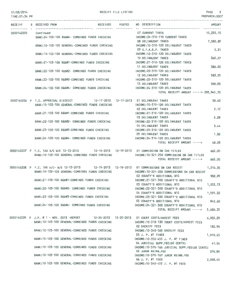### 01/08/2014

RECEIPT FILE LISTING PAGE 9

PREPARER:0007

| TIME: 01:34 PM |                         |                                                  |                 |                                                                                                                                                            | PREPARER: 000      |
|----------------|-------------------------|--------------------------------------------------|-----------------|------------------------------------------------------------------------------------------------------------------------------------------------------------|--------------------|
|                | RECEIPT S RECEIVED FROM |                                                  | RECEIVED POSTED | NO DESCRIPTION                                                                                                                                             | <b>AMOUNT</b>      |
| 0000140205     | Continued               | BANK:24-103-100 R&B#4- COMBINED FUNDS CHECKING   |                 | 07 CURRENT TAXES<br>INCOME:24-310-110 CURRENT TAXES                                                                                                        | 10,255.15          |
|                |                         | BANK: 10-103-100 GENERAL-COMBINED FUNDS CHECKING |                 | 08 DELINQUENT TAXES<br>INCOME:10-310-120 DELINQUENT TAXES                                                                                                  | 7,080.89           |
|                |                         | BANK:10-103-100 GENERAL-COMBINED FUNDS CHECKING  |                 | 09 G.F.A.B.P. TAXES<br>INCOME:10-310-120 DELINQUENT TAXES                                                                                                  | 0.31               |
|                |                         | BANK:21-103-100 R&B#1-COMBINED FUNDS CHECKING    |                 | 10 DELINQUENT TAXES<br>INCOME:21-310-120 DELINQUENT TAXES                                                                                                  | 360.27             |
|                |                         | BANK:22-103-100 R&B#2- COMBINED FUNDS CHECKING   |                 | 11 DELINQUENT TAXES<br>INCOME: 22-310-120 DELINQUENT TAXES                                                                                                 | 386.00             |
|                |                         | BANK:23-103-100 R&B#3-COMBINED FUNDS CHECKING    |                 | 12 DELINQUENT TAXES<br>INCOME:23-310-120 DELINQUENT TAXES<br>13 DELINQUENT TAXES                                                                           | 583.25<br>308.83   |
|                |                         | BANK:24-103-100 R&B#4- COMBINED FUNDS CHECKING   |                 | INCOME:24-310-120 DELINQUENT TAXES<br>TOTAL RECEIPT AMOUNT -----> 298,945.70                                                                               |                    |
|                |                         |                                                  |                 |                                                                                                                                                            |                    |
|                |                         | BANK: 10-103-100 GENERAL-COMBINED FUNDS CHECKING |                 | 0000140206 P F.C. APPRAISAL DISTRICT 12-17-2013 12-17-2013 01 DELINQUENT TAXES<br>INCOME: 10-310-120 DELINQUENT TAXES                                      | 38.62              |
|                |                         | BANK:21-103-100 R&B#1-COMBINED FUNDS CHECKING    |                 | 02 DELINQUENT TAXES<br>INCOME:21-310-120 DELINQUENT TAXES<br>03 DELINQUENT TAXES                                                                           | 2.12<br>2.28       |
|                |                         | BANK:22-103-100 R&B#2- COMBINED FUNDS CHECKING   |                 | INCOME:22-310-120 DELINQUENT TAXES<br>04 DELINQUENT TAXES                                                                                                  | 3.44               |
|                |                         | BANK:23-103-100 R&B#3-COMBINED FUNDS CHECKING    |                 | INCOME: 23-310-120 DELINQUENT TAXES<br>05 DELINQUENT TAXES                                                                                                 | 1.82               |
|                |                         | BANK:24-103-100 R&B#4- COMBINED FUNDS CHECKING   |                 | INCOME:24-310-120 DELINQUENT TAXES<br>TOTAL RECEIPT AMOUNT ----->                                                                                          | 48.28              |
|                |                         |                                                  |                 | 0000140207 P F.C. TAX A/C W/E 12-13-2013 12-19-2013 12-19-2013 01 COMMISSION ON CAR TITLES                                                                 | 665.00             |
|                |                         | BANK: 10-103-100 GENERAL-COMBINED FUNDS CHECKING |                 | INCOME:10-321-250 COMMISSION ON CAR TITLES<br>TOTAL RECEIPT AMOUNT ----->                                                                                  | 665.00             |
|                |                         | BANK: 10-103-100 GENERAL-COMBINED FUNDS CHECKING |                 | 0000140208 P F.C. TAX A/C-W/E 12-13-2013 12-19-2013 12-19-2013 01 COMMISSIONS ON CAR REGIST<br>INCOME: 10-321-200 COMMISSIONS ON CAR REGIST                | 1,216.35           |
|                |                         | BANK: 21-103-100 R&B#1-COMBINED FUNDS CHECKING   |                 | 02 COUNTY'S ADDITIONAL \$10<br>INCOME:21-321-300 COUNTY'S ADDITIONAL \$10                                                                                  | 982.95             |
|                |                         | BANK:22-103-100 R&B#2- COMBINED FUNDS CHECKING   |                 | 03 COUNTY'S ADDITIONAL \$10 1,053.13<br>INCOME: 22-321-300 COUNTY'S ADDITIONAL \$10                                                                        |                    |
|                |                         | BANK:23-103-100 R&B#3-COMBINED FUNDS CHECKING    |                 | 04 COUNTY'S ADDITIONAL \$10<br>INCOME:23-321-300 COUNTY'S ADDITIONAL \$10                                                                                  | 1,591.32           |
|                |                         | BANK:24-103-100 R&B#4- COMBINED FUNDS CHECKING   |                 | 05 COUNTY'S ADDITIONAL \$10<br>INCOME:24-321-300 COUNTY'S ADDITIONAL \$10                                                                                  | 842.60             |
|                |                         |                                                  |                 | TOTAL RECEIPT AMOUNT ----->                                                                                                                                | 5,686.35           |
|                |                         | BANK: 10-103-100 GENERAL-COMBINED FUNDS CHECKING |                 | 0000140209 P J.P. # 1 - NOV. 2013 -REPORT 12-20-2013 12-20-2013 01 COURT COSTS/ARREST FEES<br>INCOME:10-318-130 COURT COSTS/ARREST FEES<br>02 SHERIFF FEES | 6,035.29           |
|                |                         | BANK: 10-103-100 GENERAL-COMBINED FUNDS CHECKING |                 | INCOME:10-340-560 SHERIFF FEES<br>03 J. P. #1 FINES                                                                                                        | 182.94<br>1,919.45 |
|                |                         | BANK:10-103-100 GENERAL-COMBINED FUNDS CHECKING  |                 | INCOME: 10-350-455 J. P. #1 FINES<br>04 JUDICIAL SUPP.FEE(60 CENTS)                                                                                        | 41.54              |
|                |                         | BANK:10-103-100 GENERAL-COMBINED FUNDS CHECKING  |                 | INCOME:10-370-166 JUDICIAL SUPP.FEE(60 CENTS)<br>05 JUROR REIMB.FEE                                                                                        | 276.80             |
|                |                         |                                                  |                 | BANK:10-103-100 GENERAL-COMBINED FUNDS CHECKING THE MINICOME:10-370-167 JUROR REIMB.FEE<br>06 J. P. #1 FEES                                                | 2,008.40           |
|                |                         | BANK:10-103-100 GENERAL-COMBINED FUNDS CHECKING  |                 | INCOME: 10-340-455 J. P. #1 FEES                                                                                                                           |                    |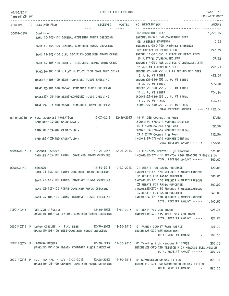### 01/08/2014

| 01/08/2014<br>TIME:01:34 PM |                              |                                                                                                                                           | RECEIPT FILE LISTING |                                                                                                                                                                                                                                    | PAGE 10<br>PREPARER: 0007 |        |
|-----------------------------|------------------------------|-------------------------------------------------------------------------------------------------------------------------------------------|----------------------|------------------------------------------------------------------------------------------------------------------------------------------------------------------------------------------------------------------------------------|---------------------------|--------|
|                             | RECEIPT S RECEIVED FROM      | RECEIVED POSTED                                                                                                                           |                      | NO DESCRIPTION                                                                                                                                                                                                                     | AMOUNT                    |        |
| 0000140209 Continued        |                              | BANK: 10-103-100 GENERAL-COMBINED FUNDS CHECKING                                                                                          |                      | 07 CONSTABLE FEES<br>INCOME:10-340-550 CONSTABLE FEES                                                                                                                                                                              | 1,226.09                  |        |
|                             |                              | BANK: 10-103-100 GENERAL-COMBINED FUNDS CHECKING                                                                                          |                      | 08 INTEREST EARNINGS<br>INCOME:10-360-100 INTEREST EARNINGS                                                                                                                                                                        |                           | 0.24   |
|                             |                              |                                                                                                                                           |                      | 09 JUSTICE OF PEACE FEES<br>BANK:11-103-100 C.H. SECURITY-COMBINED FUNDS CKING MOOME:11-340-651 JUSTICE OF PEACE FEES                                                                                                              |                           | 222.69 |
|                             |                              | BANK: 14-103-100 JUST.CT.BLDG.SEC.-COMB.FUNDS CKING                                                                                       |                      | 10 JUSTICE CT.BLDG.SEC.FEE<br>INCOME: 14-370-168 JUSTICE CT.BLDG.SEC.FEE                                                                                                                                                           |                           | 69.22  |
|                             |                              | BANK:26-103-100 J.P.#1 JUST.CT.TECH-COMB.FUND CKING                                                                                       |                      | 11 J.P.#1 TECHNOLOGY FEES<br>INCOME:26-370-455 J.P.#1 TECHNOLOGY FEES                                                                                                                                                              |                           | 292.93 |
|                             |                              | BANK:21-103-100 R&B#1-COMBINED FUNDS CHECKING                                                                                             |                      | 12 J. P. #1 FINES<br>INCOME:21-350-455 J. P. #1 FINES                                                                                                                                                                              | 472.00                    |        |
|                             |                              | BANK: 22-103-100 R&B#2- COMBINED FUNDS CHECKING                                                                                           |                      | 13 J. P. #1 FINES<br>INCOME:22-350-455 J. P. #1 FINES                                                                                                                                                                              | 505.70                    |        |
|                             |                              | BANK:23-103-100 R&B#3-COMBINED FUNDS CHECKING                                                                                             |                      | 14 J. P. #1 FINES<br>INCOME:23-350-455 J. P. #1 FINES                                                                                                                                                                              | 764.14                    |        |
|                             |                              | BANK:24-103-100 R&B#4- COMBINED FUNDS CHECKING                                                                                            |                      | 15 J. P. #1 FINES<br>INCOME: 24-350-455 J. P. #1 FINES                                                                                                                                                                             | 404.61                    |        |
|                             |                              |                                                                                                                                           |                      | TOTAL RECEIPT AMOUNT -----> 14,422.04                                                                                                                                                                                              |                           |        |
|                             | BANK:89-103-489 CASH-TJJD-N  | 0000140210 P F.C. JUVENILE PROBATION 12-20-2013 12-20-2013 01 # 1988 Counseling Fees                                                      |                      | INCOME:89-578-414 NON-RESIDENTIAL                                                                                                                                                                                                  |                           | 37.50  |
|                             | BANK: 89-103-489 CASH-TJJD-N |                                                                                                                                           |                      | 02 # 1988 Counseling Fees<br>INCOME:89-578-414 NON-RESIDENTIAL                                                                                                                                                                     |                           | 22.50  |
|                             | BANK:89-103-489 CASH-TJJD-N  |                                                                                                                                           |                      | 03 # 2028 Counseling Fees<br>INCOME:89-578-414 NON-RESIDENTIAL                                                                                                                                                                     | 112.50                    |        |
|                             |                              |                                                                                                                                           |                      | TOTAL RECEIPT AMOUNT ----->                                                                                                                                                                                                        | 172.50                    | 300.00 |
|                             |                              | BANK:22-103-100 R&B#2- COMBINED FUNDS CHECKING                                                                                            |                      | 0000140211 P LADONNA DeGeer 12-20-2013 12-20-2013 01 # 107935 Trenton High Meadows<br>INCOME:22-370-150 TRENTON HIGH MEADOWS SUBDIVISION<br>TOTAL RECEIPT AMOUNT ----->                                                            | 300.00                    |        |
| 0000140212 P KENWOOD        |                              | BANK:21-103-100 R&B#1-COMBINED FUNDS CHECKING                                                                                             |                      | 12-30-2013  12-30-2013  01 REBATE FOR RADIO PURCHASE<br>INCOME:21-370-130 REFUNDS & MISCELLANEOUS .                                                                                                                                | 120,00                    |        |
|                             |                              | BANK:22-103-100 R&B#2- COMBINED FUNDS CHECKING                                                                                            |                      | 02 REBATE FOR RADIO PURCHASE<br>INCOME:22-370-130 REFUNDS & MISCELLANEOUS                                                                                                                                                          | 300.00                    |        |
|                             |                              |                                                                                                                                           |                      | 03 REBATE FOR RADIO PURCHASE<br>BANK:23-103-100 R&B#3-COMBINED FUNDS CHECKING MANUSIC INCOME:23-370-130 REFUNDS & MISCELLANEOUS                                                                                                    | 600,00                    |        |
|                             |                              |                                                                                                                                           |                      | 04 REBATE FOR RADIO PURCHASE<br>BANK:24-103-100 R&B#4- COMBINED FUNDS CHECKING MANUSIC MECOME:24-370-130 REFUNDS & MISCELLANEOUS                                                                                                   | 240.00                    |        |
|                             |                              |                                                                                                                                           |                      | TOTAL RECEIPT AMOUNT -----> 1,260.00                                                                                                                                                                                               |                           |        |
|                             |                              | 0000140213 P VERIZON WIRELESS 12-30-2013 12-30-2013 01 RENT- VERIZON TOWER                                                                |                      | BANK:10-103-100 GENERAL-COMBINED FUNDS CHECKING [INCOME:10-370-115 RENT- VERIZON TOWER                                                                                                                                             | 925.75                    |        |
|                             |                              |                                                                                                                                           |                      | TOTAL RECEIPT AMOUNT ----->                                                                                                                                                                                                        | 925.75                    |        |
|                             |                              | 0000140214 P LeRoy CIRCLES - F.C. BEES 12-30-2013 12-30-2013 01 FANNIN COUNTY FAIR RAFFLE<br>BANK:25-103-100 BEES-COMBINED FUNDS CHECKING |                      | INCOME:25-370-625 DONATIONS<br>TOTAL RECEIPT AMOUNT ----->                                                                                                                                                                         | 105.00<br>105,00          |        |
|                             | 0000140215 P LADONNA DEGEER  | BANK:22-103-100 R&B#2- COMBINED FUNDS CHECKING                                                                                            |                      | INCOME:22-370-150 TRENTON HIGH MEADOWS SUBDIVISION<br>TOTAL RECEIPT AMOUNT ----->                                                                                                                                                  | 300.00<br>300.00          |        |
|                             |                              |                                                                                                                                           |                      | 0000140216 P F.C. TAX A/C - W/E 12-20-2013 12-30-2013 12-30-2013 01 COMMISSION ON CAR TITLES<br>BANK:10-103-100 GENERAL-COMBINED FUNDS CHECKING MANUSING INCOME:10-321-250 COMMISSION ON CAR TITLES<br>TOTAL RECEIPT AMOUNT -----> | 820,00<br>820,00          |        |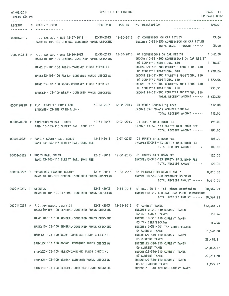| 01/08/2014           |                                                                                                                                                   | RECEIPT FILE LISTING        |                                                                                                                                                       | PAGE 11<br>PREPARER:0007 |
|----------------------|---------------------------------------------------------------------------------------------------------------------------------------------------|-----------------------------|-------------------------------------------------------------------------------------------------------------------------------------------------------|--------------------------|
| TIME: 01:34 PM       |                                                                                                                                                   |                             |                                                                                                                                                       |                          |
| RECEIPT              | <b>RECEIVED</b><br>S RECEIVED FROM<br>                                                                                                            | <b>POSTED</b><br>---------- | NO DESCRIPTION                                                                                                                                        | AMOUNT                   |
|                      | 0000140217 P F.C. TAX A/C - W/E 12-27-2013 12-30-2013 12-30-2013 01 COMMISSION ON CAR TITLES<br>BANK: 10-103-100 GENERAL-COMBINED FUNDS CHECKING  |                             | INCOME:10-321-250 COMMISSION ON CAR TITLES<br>TOTAL RECEIPT AMOUNT -----> 45.00                                                                       | 45.00                    |
|                      | 0000140218 P F.C. TAX A/C - W/E 12-20-2013 12-30-2013 12-30-2013 01 COMMISSIONS ON CAR REGIST<br>BANK: 10-103-100 GENERAL-COMBINED FUNDS CHECKING |                             | INCOME: 10-321-200 COMMISSIONS ON CAR REGIST                                                                                                          | 1,372.20                 |
|                      | BANK:21-103-100 R&B#1-COMBINED FUNDS CHECKING                                                                                                     |                             | 02 COUNTY'S ADDITIONAL \$10<br>INCOME: 21-321-300 COUNTY'S ADDITIONAL \$10                                                                            | 1,156.67                 |
|                      | BANK:22-103-100 R&B#2- COMBINED FUNDS CHECKING                                                                                                    |                             | 03 COUNTY'S ADDITIONAL \$10<br>INCOME: 22-321-300 COUNTY'S ADDITIONAL \$10<br>04 COUNTY'S ADDITIONAL \$10                                             | 1,239.26                 |
|                      | BANK:23-103-100 R&B#3-COMBINED FUNDS CHECKING                                                                                                     |                             | INCOME:23-321-300 COUNTY'S ADDITIONAL \$10<br>05 COUNTY'S ADDITIONAL \$10                                                                             | 1,872.56<br>991.51       |
|                      | BANK:24-103-100 R&B#4- COMBINED FUNDS CHECKING                                                                                                    |                             | INCOME: 24-321-300 COUNTY'S ADDITIONAL \$10<br>TOTAL RECEIPT AMOUNT -----> 6,632.20                                                                   |                          |
|                      | 0000140219 P F.C. JUVENILE PROBATION 12-31-2013 12-31-2013 01 #2017 Counseling fees<br>BANK: 89-103-489 CASH-TJJD-N                               |                             | INCOME:89-578-414 NON-RESIDENTIAL                                                                                                                     | 112,00                   |
|                      |                                                                                                                                                   |                             | TOTAL RECEIPT AMOUNT -----> 112.00                                                                                                                    |                          |
|                      | 0000140220 P CARPENTER'S BAIL BONDS 12-31-2013 12-31-2013 01 SURETY BAIL BOND FEE<br>BANK: 13-103-113 SURETY BAIL BOND FEE                        |                             | INCOME: 13-345-113 SURETY BAIL BOND FEE                                                                                                               | 195,00                   |
|                      |                                                                                                                                                   |                             | TOTAL RECEIPT AMOUNT ----->                                                                                                                           | 195.00                   |
|                      | 0000140221 P FANNIN COUNTY BAIL BONDS 12-31-2013 12-31-2013 01 SURETY BAIL BOND FEE<br>BANK: 13-103-113 SURETY BAIL BOND FEE                      |                             | INCOME:13-345-113 SURETY BAIL BOND FEE<br>TOTAL RECEIPT AMOUNT ----->                                                                                 | 105.00<br>105,00         |
|                      | 12-31-2013  12-31-2013  01 SURETY BAIL BOND FEE<br>0000140222 P DOC'S BAIL BONDS<br>BANK: 13-103-113 SURETY BAIL BOND FEE                         |                             | INCOME: 13-345-113 SURETY BAIL BOND FEE<br>TOTAL RECEIPT AMOUNT ----->                                                                                | 120.00<br>120,00         |
|                      | 0000140223 P TREASURER, GRAYSON COUNTY 12-31-2013 12-31-2013 01 PRISONER HOUSING-STANLEY<br>BANK: 10-103-100 GENERAL-COMBINED FUNDS CHECKING      |                             | INCOME: 10-565-380 PRISONER HOUSING<br>TOTAL RECEIPT AMOUNT -----> 8,010,00                                                                           | 8,010.00                 |
| 0000140224 P SECURUS | BANK:10-103-100 GENERAL-COMBINED FUNDS CHECKING                                                                                                   |                             | 12-31-2013  12-31-2013  01 Nov. 2013 - jail phone commission<br>INCOME: 10-319-420 JAIL PAY PHONE COMMISSION<br>TOTAL RECEIPT AMOUNT -----> 20,569.91 | 20,569.91                |
|                      | 0000140225 P F.C. APPRAISAL DISTRICT 12-31-2013 12-31-2013 01 CURRENT TAXES<br>BANK: 10-103-100 GENERAL-COMBINED FUNDS CHECKING                   |                             | INCOME: 10-310-110 CURRENT TAXES                                                                                                                      | 522,383.71               |
|                      | BANK: 10-103-100 GENERAL-COMBINED FUNDS CHECKING                                                                                                  |                             | 02 G.F.A.B.P. TAXES<br>INCOME: 10-310-110 CURRENT TAXES                                                                                               | 155.74                   |
|                      | BANK: 10-103-100 GENERAL-COMBINED FUNDS CHECKING                                                                                                  |                             | 03 TAX CERTIFICATES<br>INCOME: 10-321-901 TAX CERTIFICATES                                                                                            | 154.96                   |
|                      | BANK:21-103-100 R&B#1-COMBINED FUNDS CHECKING                                                                                                     |                             | 04 CURRENT TAXES<br>INCOME:21-310-110 CURRENT TAXES                                                                                                   | 26,578.60                |
|                      | BANK:22-103-100 R&B#2- COMBINED FUNDS CHECKING                                                                                                    |                             | 05 CURRENT TAXES<br>INCOME: 22-310-110 CURRENT TAXES                                                                                                  | 28,476.21                |
|                      | BANK:23-103-100 R&B#3-COMBINED FUNDS CHECKING                                                                                                     |                             | 06 CURRENT TAXES<br>INCOME: 23-310-110 CURRENT TAXES                                                                                                  | 43,028.57                |
|                      | BANK:24-103-100 R&B#4- COMBINED FUNDS CHECKING                                                                                                    |                             | 07 CURRENT TAXES<br>INCOME: 24-310-110 CURRENT TAXES                                                                                                  | 22,783.38                |
|                      | BANK: 10-103-100 GENERAL-COMBINED FUNDS CHECKING                                                                                                  |                             | 08 DELINQUENT TAXES<br>INCOME: 10-310-120 DELINQUENT TAXES                                                                                            | 4,275.27                 |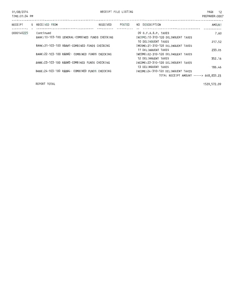| 01/08/2014<br>TIME: 01:34 PM |                                                               | RECEIPT FILE LISTING |                                                            | PAGE 12<br>PREPARER: 0007 |
|------------------------------|---------------------------------------------------------------|----------------------|------------------------------------------------------------|---------------------------|
|                              | RECEIPT S RECEIVED FROM<br>RECEIVED                           | POSTED               | NO DESCRIPTION                                             | <b>AMOUNT</b>             |
| 0000140225                   | Continued<br>BANK: 10-103-100 GENERAL-COMBINED FUNDS CHECKING |                      | 09 G.F.A.B.P. TAXES<br>INCOME:10-310-120 DELINQUENT TAXES  | 7.60                      |
|                              | BANK: 21-103-100 R&B#1-COMBINED FUNDS CHECKING                |                      | 10 DELINQUENT TAXES<br>INCOME: 21-310-120 DELINQUENT TAXES | 217.52                    |
|                              | BANK: 22-103-100 R&B#2- COMBINED FUNDS CHECKING               |                      | 11 DELINQUENT TAXES<br>INCOME:22-310-120 DELINQUENT TAXES  | 233.05                    |
|                              | BANK: 23-103-100 R&B#3-COMBINED FUNDS CHECKING                |                      | 12 DELINQUENT TAXES<br>INCOME: 23-310-120 DELINQUENT TAXES | 352.16                    |
|                              | BANK: 24-103-100 R&B#4- COMBINED FUNDS CHECKING               |                      | 13 DELINQUENT TAXES<br>INCOME:24-310-120 DELINQUENT TAXES  | 186.46                    |
|                              |                                                               |                      | TOTAL RECEIPT AMOUNT -----> 648,833.23                     |                           |
|                              |                                                               |                      |                                                            |                           |

REPORT TOTAL

1529,572.D9